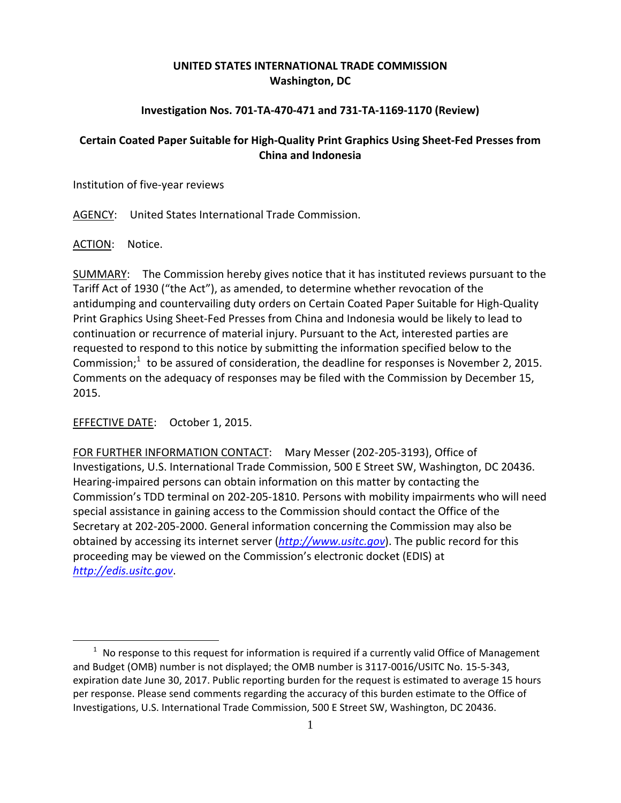## **UNITED STATES INTERNATIONAL TRADE COMMISSION Washington, DC**

## **Investigation Nos. 701‐TA‐470‐471 and 731‐TA‐1169‐1170 (Review)**

## **Certain Coated Paper Suitable for High‐Quality Print Graphics Using Sheet‐Fed Presses from China and Indonesia**

Institution of five‐year reviews

AGENCY: United States International Trade Commission.

ACTION: Notice.

 $\overline{a}$ 

SUMMARY: The Commission hereby gives notice that it has instituted reviews pursuant to the Tariff Act of 1930 ("the Act"), as amended, to determine whether revocation of the antidumping and countervailing duty orders on Certain Coated Paper Suitable for High‐Quality Print Graphics Using Sheet‐Fed Presses from China and Indonesia would be likely to lead to continuation or recurrence of material injury. Pursuant to the Act, interested parties are requested to respond to this notice by submitting the information specified below to the Commission; $1$  to be assured of consideration, the deadline for responses is November 2, 2015. Comments on the adequacy of responses may be filed with the Commission by December 15, 2015.

EFFECTIVE DATE: October 1, 2015.

FOR FURTHER INFORMATION CONTACT: Mary Messer (202‐205‐3193), Office of Investigations, U.S. International Trade Commission, 500 E Street SW, Washington, DC 20436. Hearing‐impaired persons can obtain information on this matter by contacting the Commission's TDD terminal on 202‐205‐1810. Persons with mobility impairments who will need special assistance in gaining access to the Commission should contact the Office of the Secretary at 202‐205‐2000. General information concerning the Commission may also be obtained by accessing its internet server (*http://www.usitc.gov*). The public record for this proceeding may be viewed on the Commission's electronic docket (EDIS) at *http://edis.usitc.gov*.

 $1$  No response to this request for information is required if a currently valid Office of Management and Budget (OMB) number is not displayed; the OMB number is 3117‐0016/USITC No. 15‐5‐343, expiration date June 30, 2017. Public reporting burden for the request is estimated to average 15 hours per response. Please send comments regarding the accuracy of this burden estimate to the Office of Investigations, U.S. International Trade Commission, 500 E Street SW, Washington, DC 20436.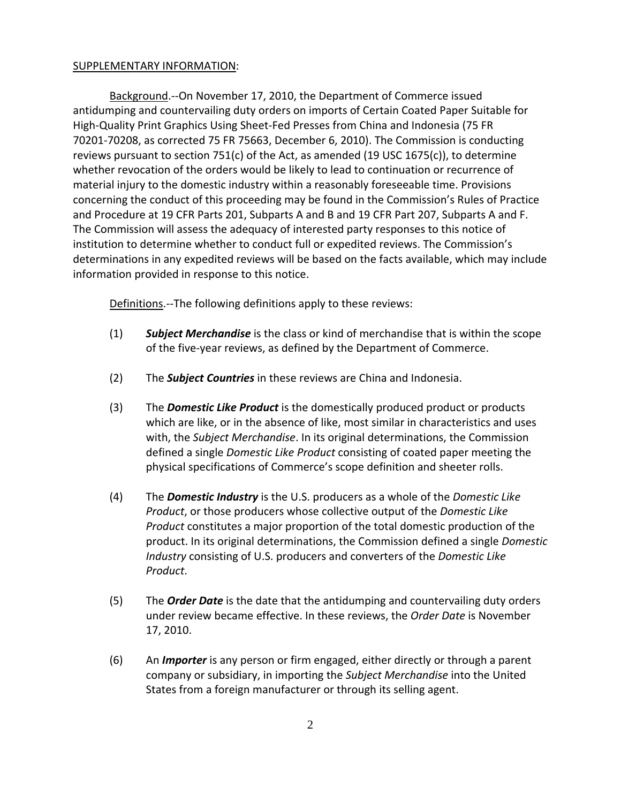## SUPPLEMENTARY INFORMATION:

Background.‐‐On November 17, 2010, the Department of Commerce issued antidumping and countervailing duty orders on imports of Certain Coated Paper Suitable for High‐Quality Print Graphics Using Sheet‐Fed Presses from China and Indonesia (75 FR 70201‐70208, as corrected 75 FR 75663, December 6, 2010). The Commission is conducting reviews pursuant to section 751(c) of the Act, as amended (19 USC 1675(c)), to determine whether revocation of the orders would be likely to lead to continuation or recurrence of material injury to the domestic industry within a reasonably foreseeable time. Provisions concerning the conduct of this proceeding may be found in the Commission's Rules of Practice and Procedure at 19 CFR Parts 201, Subparts A and B and 19 CFR Part 207, Subparts A and F. The Commission will assess the adequacy of interested party responses to this notice of institution to determine whether to conduct full or expedited reviews. The Commission's determinations in any expedited reviews will be based on the facts available, which may include information provided in response to this notice.

Definitions.--The following definitions apply to these reviews:

- (1) *Subject Merchandise* is the class or kind of merchandise that is within the scope of the five‐year reviews, as defined by the Department of Commerce.
- (2) The *Subject Countries* in these reviews are China and Indonesia.
- (3) The *Domestic Like Product* is the domestically produced product or products which are like, or in the absence of like, most similar in characteristics and uses with, the *Subject Merchandise*. In its original determinations, the Commission defined a single *Domestic Like Product* consisting of coated paper meeting the physical specifications of Commerce's scope definition and sheeter rolls.
- (4) The *Domestic Industry* is the U.S. producers as a whole of the *Domestic Like Product*, or those producers whose collective output of the *Domestic Like Product* constitutes a major proportion of the total domestic production of the product. In its original determinations, the Commission defined a single *Domestic Industry* consisting of U.S. producers and converters of the *Domestic Like Product*.
- (5) The *Order Date* is the date that the antidumping and countervailing duty orders under review became effective. In these reviews, the *Order Date* is November 17, 2010.
- (6) An *Importer* is any person or firm engaged, either directly or through a parent company or subsidiary, in importing the *Subject Merchandise* into the United States from a foreign manufacturer or through its selling agent.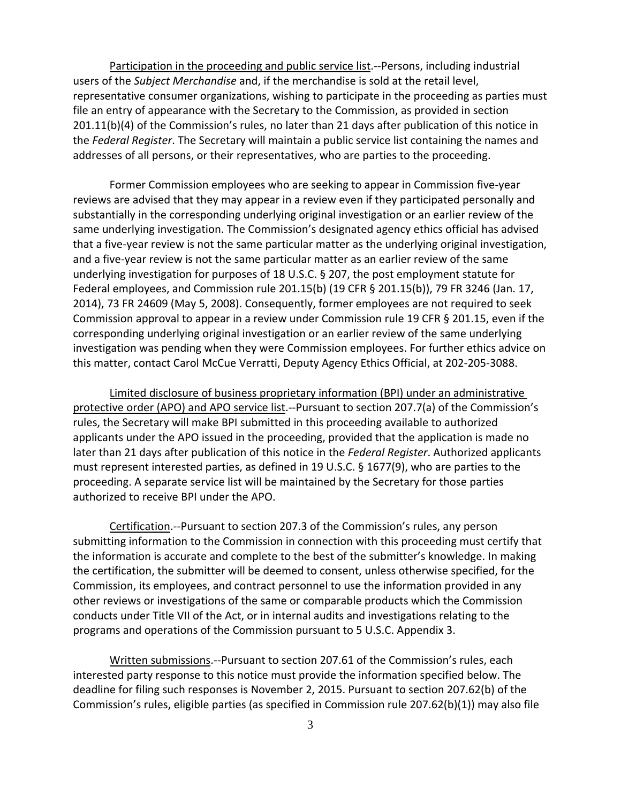Participation in the proceeding and public service list.--Persons, including industrial users of the *Subject Merchandise* and, if the merchandise is sold at the retail level, representative consumer organizations, wishing to participate in the proceeding as parties must file an entry of appearance with the Secretary to the Commission, as provided in section 201.11(b)(4) of the Commission's rules, no later than 21 days after publication of this notice in the *Federal Register*. The Secretary will maintain a public service list containing the names and addresses of all persons, or their representatives, who are parties to the proceeding.

Former Commission employees who are seeking to appear in Commission five‐year reviews are advised that they may appear in a review even if they participated personally and substantially in the corresponding underlying original investigation or an earlier review of the same underlying investigation. The Commission's designated agency ethics official has advised that a five‐year review is not the same particular matter as the underlying original investigation, and a five‐year review is not the same particular matter as an earlier review of the same underlying investigation for purposes of 18 U.S.C. § 207, the post employment statute for Federal employees, and Commission rule 201.15(b) (19 CFR § 201.15(b)), 79 FR 3246 (Jan. 17, 2014), 73 FR 24609 (May 5, 2008). Consequently, former employees are not required to seek Commission approval to appear in a review under Commission rule 19 CFR § 201.15, even if the corresponding underlying original investigation or an earlier review of the same underlying investigation was pending when they were Commission employees. For further ethics advice on this matter, contact Carol McCue Verratti, Deputy Agency Ethics Official, at 202‐205‐3088.

Limited disclosure of business proprietary information (BPI) under an administrative protective order (APO) and APO service list.--Pursuant to section 207.7(a) of the Commission's rules, the Secretary will make BPI submitted in this proceeding available to authorized applicants under the APO issued in the proceeding, provided that the application is made no later than 21 days after publication of this notice in the *Federal Register*. Authorized applicants must represent interested parties, as defined in 19 U.S.C. § 1677(9), who are parties to the proceeding. A separate service list will be maintained by the Secretary for those parties authorized to receive BPI under the APO.

Certification.‐‐Pursuant to section 207.3 of the Commission's rules, any person submitting information to the Commission in connection with this proceeding must certify that the information is accurate and complete to the best of the submitter's knowledge. In making the certification, the submitter will be deemed to consent, unless otherwise specified, for the Commission, its employees, and contract personnel to use the information provided in any other reviews or investigations of the same or comparable products which the Commission conducts under Title VII of the Act, or in internal audits and investigations relating to the programs and operations of the Commission pursuant to 5 U.S.C. Appendix 3.

Written submissions.‐‐Pursuant to section 207.61 of the Commission's rules, each interested party response to this notice must provide the information specified below. The deadline for filing such responses is November 2, 2015. Pursuant to section 207.62(b) of the Commission's rules, eligible parties (as specified in Commission rule 207.62(b)(1)) may also file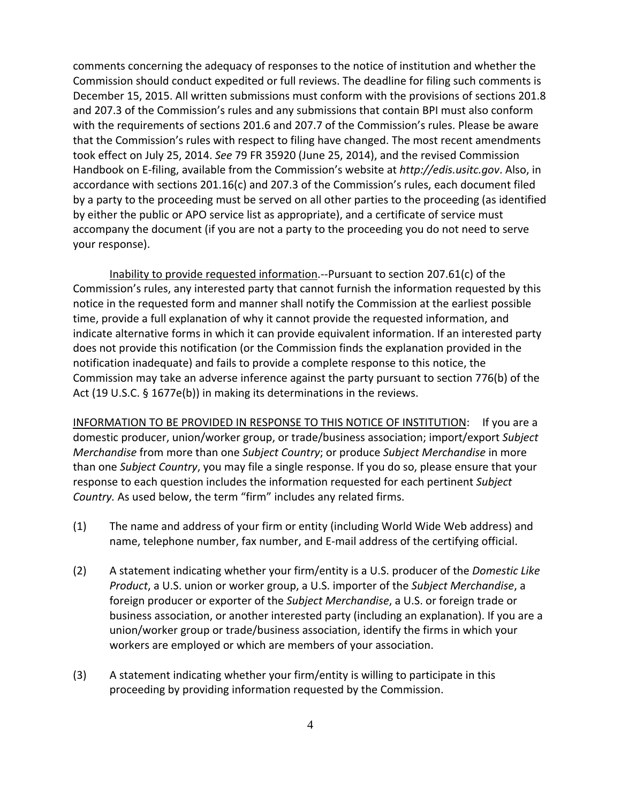comments concerning the adequacy of responses to the notice of institution and whether the Commission should conduct expedited or full reviews. The deadline for filing such comments is December 15, 2015. All written submissions must conform with the provisions of sections 201.8 and 207.3 of the Commission's rules and any submissions that contain BPI must also conform with the requirements of sections 201.6 and 207.7 of the Commission's rules. Please be aware that the Commission's rules with respect to filing have changed. The most recent amendments took effect on July 25, 2014. *See* 79 FR 35920 (June 25, 2014), and the revised Commission Handbook on E‐filing, available from the Commission's website at *http://edis.usitc.gov*. Also, in accordance with sections 201.16(c) and 207.3 of the Commission's rules, each document filed by a party to the proceeding must be served on all other parties to the proceeding (as identified by either the public or APO service list as appropriate), and a certificate of service must accompany the document (if you are not a party to the proceeding you do not need to serve your response).

Inability to provide requested information.‐‐Pursuant to section 207.61(c) of the Commission's rules, any interested party that cannot furnish the information requested by this notice in the requested form and manner shall notify the Commission at the earliest possible time, provide a full explanation of why it cannot provide the requested information, and indicate alternative forms in which it can provide equivalent information. If an interested party does not provide this notification (or the Commission finds the explanation provided in the notification inadequate) and fails to provide a complete response to this notice, the Commission may take an adverse inference against the party pursuant to section 776(b) of the Act (19 U.S.C. § 1677e(b)) in making its determinations in the reviews.

INFORMATION TO BE PROVIDED IN RESPONSE TO THIS NOTICE OF INSTITUTION: If you are a domestic producer, union/worker group, or trade/business association; import/export *Subject Merchandise* from more than one *Subject Country*; or produce *Subject Merchandise* in more than one *Subject Country*, you may file a single response. If you do so, please ensure that your response to each question includes the information requested for each pertinent *Subject Country.* As used below, the term "firm" includes any related firms.

- (1) The name and address of your firm or entity (including World Wide Web address) and name, telephone number, fax number, and E‐mail address of the certifying official.
- (2) A statement indicating whether your firm/entity is a U.S. producer of the *Domestic Like Product*, a U.S. union or worker group, a U.S. importer of the *Subject Merchandise*, a foreign producer or exporter of the *Subject Merchandise*, a U.S. or foreign trade or business association, or another interested party (including an explanation). If you are a union/worker group or trade/business association, identify the firms in which your workers are employed or which are members of your association.
- (3) A statement indicating whether your firm/entity is willing to participate in this proceeding by providing information requested by the Commission.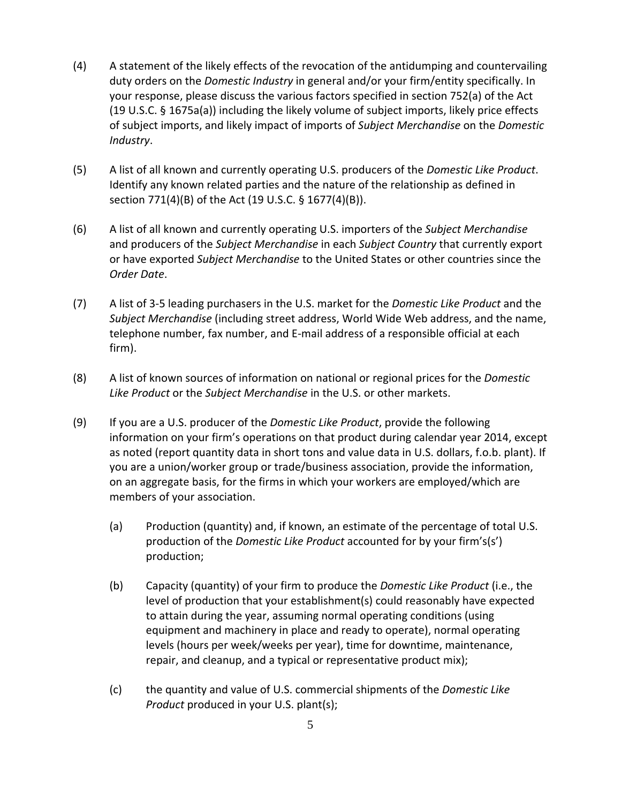- (4) A statement of the likely effects of the revocation of the antidumping and countervailing duty orders on the *Domestic Industry* in general and/or your firm/entity specifically. In your response, please discuss the various factors specified in section 752(a) of the Act (19 U.S.C. § 1675a(a)) including the likely volume of subject imports, likely price effects of subject imports, and likely impact of imports of *Subject Merchandise* on the *Domestic Industry*.
- (5) A list of all known and currently operating U.S. producers of the *Domestic Like Product*. Identify any known related parties and the nature of the relationship as defined in section 771(4)(B) of the Act (19 U.S.C. § 1677(4)(B)).
- (6) A list of all known and currently operating U.S. importers of the *Subject Merchandise* and producers of the *Subject Merchandise* in each *Subject Country* that currently export or have exported *Subject Merchandise* to the United States or other countries since the *Order Date*.
- (7) A list of 3‐5 leading purchasers in the U.S. market for the *Domestic Like Product* and the *Subject Merchandise* (including street address, World Wide Web address, and the name, telephone number, fax number, and E‐mail address of a responsible official at each firm).
- (8) A list of known sources of information on national or regional prices for the *Domestic Like Product* or the *Subject Merchandise* in the U.S. or other markets.
- (9) If you are a U.S. producer of the *Domestic Like Product*, provide the following information on your firm's operations on that product during calendar year 2014, except as noted (report quantity data in short tons and value data in U.S. dollars, f.o.b. plant). If you are a union/worker group or trade/business association, provide the information, on an aggregate basis, for the firms in which your workers are employed/which are members of your association.
	- (a) Production (quantity) and, if known, an estimate of the percentage of total U.S. production of the *Domestic Like Product* accounted for by your firm's(s') production;
	- (b) Capacity (quantity) of your firm to produce the *Domestic Like Product* (i.e., the level of production that your establishment(s) could reasonably have expected to attain during the year, assuming normal operating conditions (using equipment and machinery in place and ready to operate), normal operating levels (hours per week/weeks per year), time for downtime, maintenance, repair, and cleanup, and a typical or representative product mix);
	- (c) the quantity and value of U.S. commercial shipments of the *Domestic Like Product* produced in your U.S. plant(s);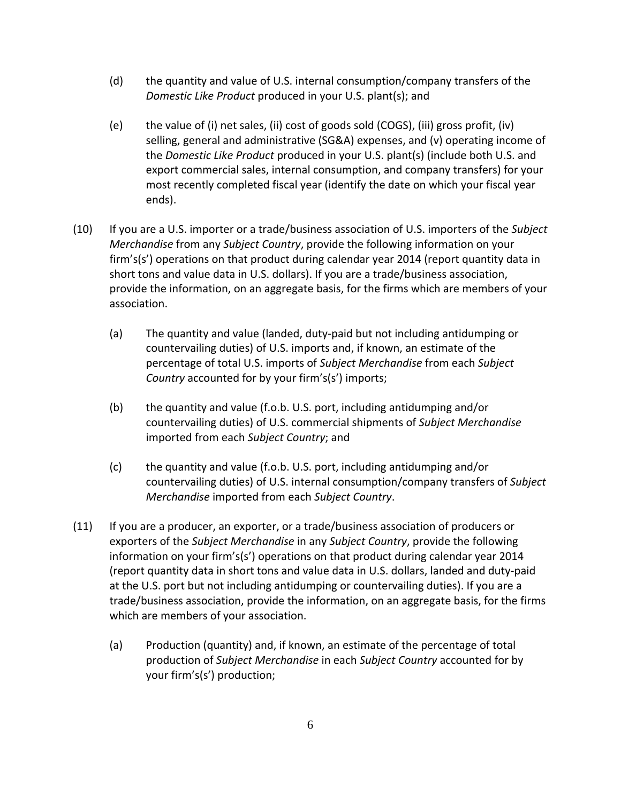- (d) the quantity and value of U.S. internal consumption/company transfers of the *Domestic Like Product* produced in your U.S. plant(s); and
- (e) the value of (i) net sales, (ii) cost of goods sold (COGS), (iii) gross profit, (iv) selling, general and administrative (SG&A) expenses, and (v) operating income of the *Domestic Like Product* produced in your U.S. plant(s) (include both U.S. and export commercial sales, internal consumption, and company transfers) for your most recently completed fiscal year (identify the date on which your fiscal year ends).
- (10) If you are a U.S. importer or a trade/business association of U.S. importers of the *Subject Merchandise* from any *Subject Country*, provide the following information on your firm's(s') operations on that product during calendar year 2014 (report quantity data in short tons and value data in U.S. dollars). If you are a trade/business association, provide the information, on an aggregate basis, for the firms which are members of your association.
	- (a) The quantity and value (landed, duty‐paid but not including antidumping or countervailing duties) of U.S. imports and, if known, an estimate of the percentage of total U.S. imports of *Subject Merchandise* from each *Subject Country* accounted for by your firm's(s') imports;
	- (b) the quantity and value (f.o.b. U.S. port, including antidumping and/or countervailing duties) of U.S. commercial shipments of *Subject Merchandise* imported from each *Subject Country*; and
	- (c) the quantity and value (f.o.b. U.S. port, including antidumping and/or countervailing duties) of U.S. internal consumption/company transfers of *Subject Merchandise* imported from each *Subject Country*.
- (11) If you are a producer, an exporter, or a trade/business association of producers or exporters of the *Subject Merchandise* in any *Subject Country*, provide the following information on your firm's(s') operations on that product during calendar year 2014 (report quantity data in short tons and value data in U.S. dollars, landed and duty‐paid at the U.S. port but not including antidumping or countervailing duties). If you are a trade/business association, provide the information, on an aggregate basis, for the firms which are members of your association.
	- (a) Production (quantity) and, if known, an estimate of the percentage of total production of *Subject Merchandise* in each *Subject Country* accounted for by your firm's(s') production;